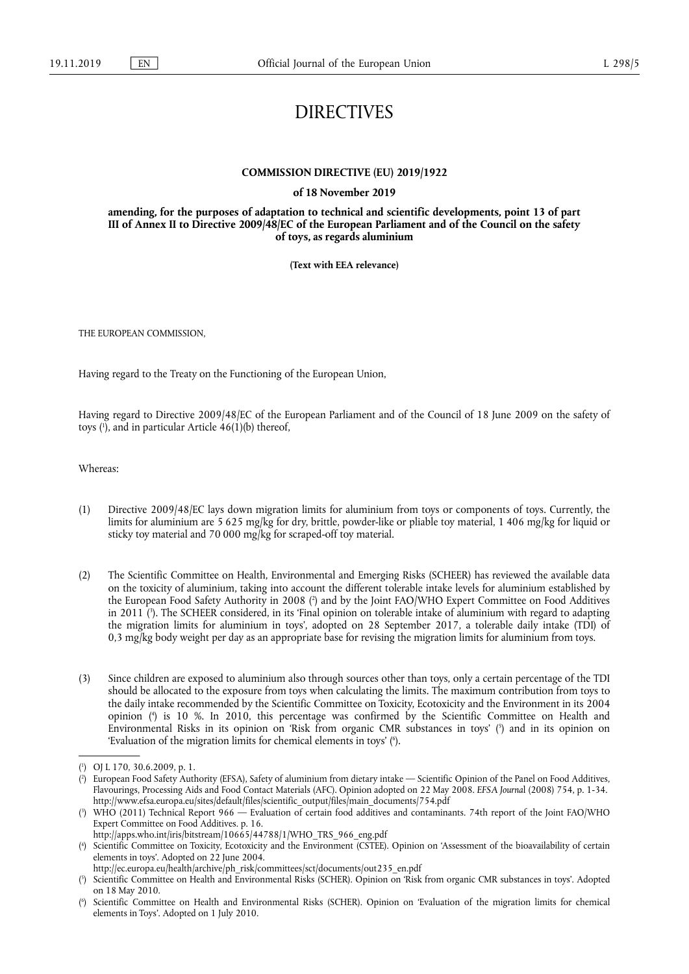## DIRECTIVES

## **COMMISSION DIRECTIVE (EU) 2019/1922**

**of 18 November 2019** 

**amending, for the purposes of adaptation to technical and scientific developments, point 13 of part III of Annex II to Directive 2009/48/EC of the European Parliament and of the Council on the safety of toys, as regards aluminium** 

**(Text with EEA relevance)** 

THE EUROPEAN COMMISSION,

Having regard to the Treaty on the Functioning of the European Union,

Having regard to Directive 2009/48/EC of the European Parliament and of the Council of 18 June 2009 on the safety of toys ( 1 ), and in particular Article 46(1)(b) thereof,

Whereas:

- (1) Directive 2009/48/EC lays down migration limits for aluminium from toys or components of toys. Currently, the limits for aluminium are 5 625 mg/kg for dry, brittle, powder-like or pliable toy material, 1 406 mg/kg for liquid or sticky toy material and 70 000 mg/kg for scraped-off toy material.
- (2) The Scientific Committee on Health, Environmental and Emerging Risks (SCHEER) has reviewed the available data on the toxicity of aluminium, taking into account the different tolerable intake levels for aluminium established by the European Food Safety Authority in 2008 ( 2 ) and by the Joint FAO/WHO Expert Committee on Food Additives in 2011 ( 3 ). The SCHEER considered, in its 'Final opinion on tolerable intake of aluminium with regard to adapting the migration limits for aluminium in toys', adopted on 28 September 2017, a tolerable daily intake (TDI) of 0,3 mg/kg body weight per day as an appropriate base for revising the migration limits for aluminium from toys.
- (3) Since children are exposed to aluminium also through sources other than toys, only a certain percentage of the TDI should be allocated to the exposure from toys when calculating the limits. The maximum contribution from toys to the daily intake recommended by the Scientific Committee on Toxicity, Ecotoxicity and the Environment in its 2004 opinion ( 4 ) is 10 %. In 2010, this percentage was confirmed by the Scientific Committee on Health and Environmental Risks in its opinion on 'Risk from organic CMR substances in toys' ( 5 ) and in its opinion on 'Evaluation of the migration limits for chemical elements in toys' ( 6 ).

<sup>(</sup> 1 ) OJ L 170, 30.6.2009, p. 1.

<sup>(</sup> 2 ) European Food Safety Authority (EFSA), Safety of aluminium from dietary intake — Scientific Opinion of the Panel on Food Additives, Flavourings, Processing Aids and Food Contact Materials (AFC). Opinion adopted on 22 May 2008. *EFSA Journa*l (2008) 754, p. 1-34. http://www.efsa.europa.eu/sites/default/files/scientific\_output/files/main\_documents/754.pdf

<sup>(</sup> 3 ) WHO (2011) Technical Report 966 — Evaluation of certain food additives and contaminants. 74th report of the Joint FAO/WHO Expert Committee on Food Additives. p. 16.

http://apps.who.int/iris/bitstream/10665/44788/1/WHO\_TRS\_966\_eng.pdf

<sup>(</sup> 4 ) Scientific Committee on Toxicity, Ecotoxicity and the Environment (CSTEE). Opinion on 'Assessment of the bioavailability of certain elements in toys'. Adopted on 22 June 2004.

http://ec.europa.eu/health/archive/ph\_risk/committees/sct/documents/out235\_en.pdf

<sup>(</sup> 5 ) Scientific Committee on Health and Environmental Risks (SCHER). Opinion on 'Risk from organic CMR substances in toys'. Adopted on 18 May 2010.

<sup>(</sup> 6 ) Scientific Committee on Health and Environmental Risks (SCHER). Opinion on 'Evaluation of the migration limits for chemical elements in Toys'. Adopted on 1 July 2010.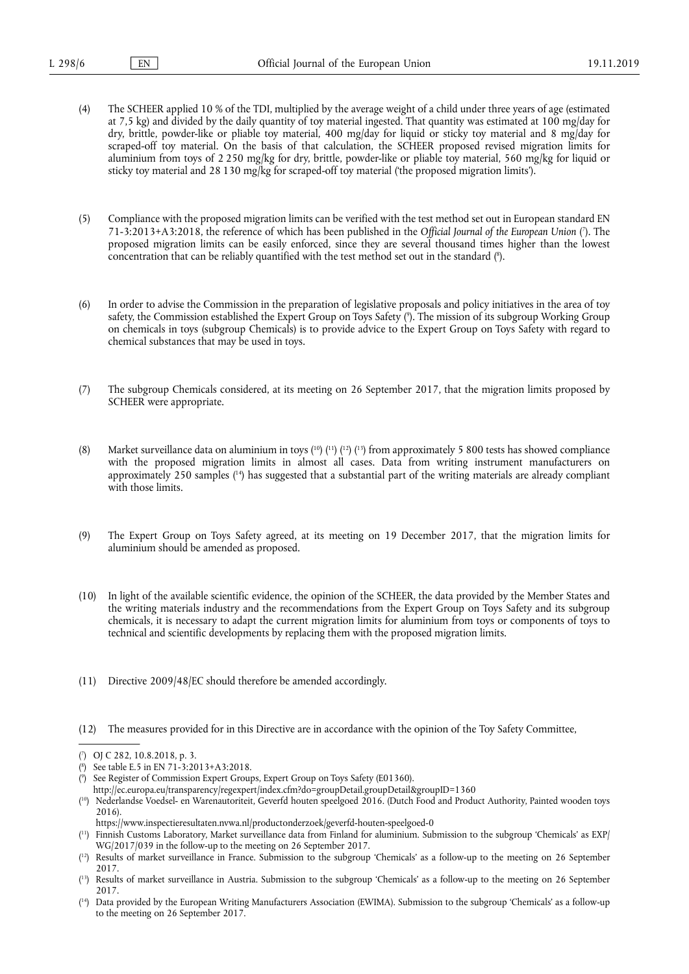- (4) The SCHEER applied 10 % of the TDI, multiplied by the average weight of a child under three years of age (estimated at 7,5 kg) and divided by the daily quantity of toy material ingested. That quantity was estimated at 100 mg/day for dry, brittle, powder-like or pliable toy material, 400 mg/day for liquid or sticky toy material and 8 mg/day for scraped-off toy material. On the basis of that calculation, the SCHEER proposed revised migration limits for aluminium from toys of 2 250 mg/kg for dry, brittle, powder-like or pliable toy material, 560 mg/kg for liquid or sticky toy material and 28 130 mg/kg for scraped-off toy material ('the proposed migration limits').
- (5) Compliance with the proposed migration limits can be verified with the test method set out in European standard EN 71-3:2013+A3:2018, the reference of which has been published in the *Official Journal of the European Union* ( 7 ). The proposed migration limits can be easily enforced, since they are several thousand times higher than the lowest concentration that can be reliably quantified with the test method set out in the standard ( 8 ).
- (6) In order to advise the Commission in the preparation of legislative proposals and policy initiatives in the area of toy safety, the Commission established the Expert Group on Toys Safety ( 9 ). The mission of its subgroup Working Group on chemicals in toys (subgroup Chemicals) is to provide advice to the Expert Group on Toys Safety with regard to chemical substances that may be used in toys.
- (7) The subgroup Chemicals considered, at its meeting on 26 September 2017, that the migration limits proposed by SCHEER were appropriate.
- (8) Market surveillance data on aluminium in toys  $(^{10})$   $(^{12})$   $(^{13})$  from approximately 5 800 tests has showed compliance with the proposed migration limits in almost all cases. Data from writing instrument manufacturers on approximately 250 samples ( 14) has suggested that a substantial part of the writing materials are already compliant with those limits.
- (9) The Expert Group on Toys Safety agreed, at its meeting on 19 December 2017, that the migration limits for aluminium should be amended as proposed.
- (10) In light of the available scientific evidence, the opinion of the SCHEER, the data provided by the Member States and the writing materials industry and the recommendations from the Expert Group on Toys Safety and its subgroup chemicals, it is necessary to adapt the current migration limits for aluminium from toys or components of toys to technical and scientific developments by replacing them with the proposed migration limits.
- (11) Directive 2009/48/EC should therefore be amended accordingly.
- (12) The measures provided for in this Directive are in accordance with the opinion of the Toy Safety Committee,

( 9 ) See Register of Commission Expert Groups, Expert Group on Toys Safety (E01360).

http://ec.europa.eu/transparency/regexpert/index.cfm?do=groupDetail.groupDetail&groupID=1360

( 10) Nederlandse Voedsel- en Warenautoriteit, Geverfd houten speelgoed 2016. (Dutch Food and Product Authority, Painted wooden toys 2016).

<sup>(</sup> 7 ) OJ C 282, 10.8.2018, p. 3.

<sup>(</sup> 8 ) See table E.5 in EN 71-3:2013+A3:2018.

https://www.inspectieresultaten.nvwa.nl/productonderzoek/geverfd-houten-speelgoed-0

<sup>(</sup> 11) Finnish Customs Laboratory, Market surveillance data from Finland for aluminium. Submission to the subgroup 'Chemicals' as EXP/ WG/2017/039 in the follow-up to the meeting on 26 September 2017.

<sup>(</sup> 12) Results of market surveillance in France. Submission to the subgroup 'Chemicals' as a follow-up to the meeting on 26 September 2017.

<sup>(</sup> 13) Results of market surveillance in Austria. Submission to the subgroup 'Chemicals' as a follow-up to the meeting on 26 September 2017.

<sup>(</sup> 14) Data provided by the European Writing Manufacturers Association (EWIMA). Submission to the subgroup 'Chemicals' as a follow-up to the meeting on 26 September 2017.